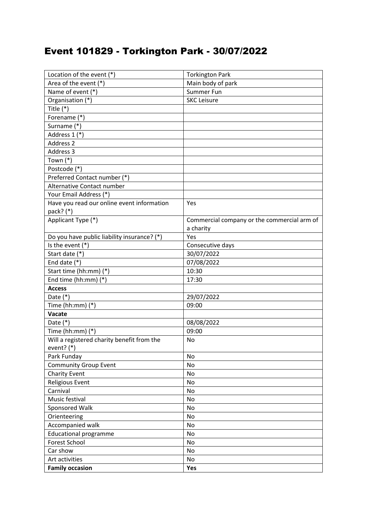## Event 101829 - Torkington Park - 30/07/2022

| Location of the event $(*)$                 | <b>Torkington Park</b>                      |
|---------------------------------------------|---------------------------------------------|
| Area of the event (*)                       | Main body of park                           |
| Name of event (*)                           | Summer Fun                                  |
| Organisation (*)                            | <b>SKC Leisure</b>                          |
| Title $(*)$                                 |                                             |
| Forename (*)                                |                                             |
| Surname (*)                                 |                                             |
| Address 1 (*)                               |                                             |
| Address 2                                   |                                             |
| Address 3                                   |                                             |
| Town $(*)$                                  |                                             |
| Postcode (*)                                |                                             |
| Preferred Contact number (*)                |                                             |
| Alternative Contact number                  |                                             |
| Your Email Address (*)                      |                                             |
| Have you read our online event information  | Yes                                         |
| pack? (*)                                   |                                             |
| Applicant Type (*)                          | Commercial company or the commercial arm of |
|                                             | a charity                                   |
| Do you have public liability insurance? (*) | Yes                                         |
| Is the event $(*)$                          | Consecutive days                            |
| Start date (*)                              | 30/07/2022                                  |
| End date $(*)$                              | 07/08/2022                                  |
| Start time (hh:mm) (*)                      | 10:30                                       |
| End time (hh:mm) (*)                        | 17:30                                       |
| <b>Access</b>                               |                                             |
| Date $(*)$                                  | 29/07/2022                                  |
| Time (hh:mm) $(*)$                          | 09:00                                       |
| Vacate                                      |                                             |
| Date $(*)$                                  | 08/08/2022                                  |
| Time (hh:mm) $(*)$                          | 09:00                                       |
| Will a registered charity benefit from the  | No                                          |
| event? $(*)$                                |                                             |
| Park Funday                                 | No                                          |
| <b>Community Group Event</b>                | No                                          |
| <b>Charity Event</b>                        | No                                          |
| <b>Religious Event</b>                      | No                                          |
| Carnival                                    | No                                          |
| Music festival                              | No                                          |
| Sponsored Walk                              | No                                          |
| Orienteering                                | No                                          |
| Accompanied walk                            | No                                          |
| <b>Educational programme</b>                | No                                          |
| <b>Forest School</b>                        | No                                          |
| Car show                                    | No                                          |
| Art activities                              | No                                          |
| <b>Family occasion</b>                      | Yes                                         |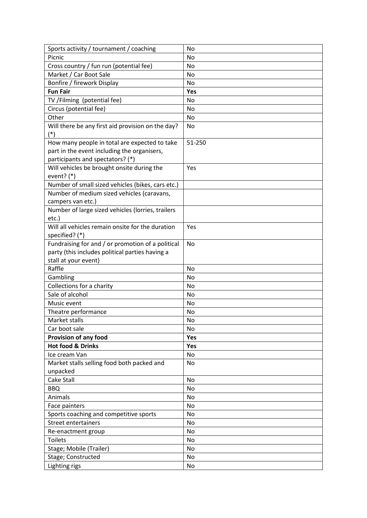| Sports activity / tournament / coaching           | No        |
|---------------------------------------------------|-----------|
| Picnic                                            | No        |
| Cross country / fun run (potential fee)           | No        |
| Market / Car Boot Sale                            | No        |
| Bonfire / firework Display                        | No        |
| <b>Fun Fair</b>                                   | Yes       |
| TV /Filming (potential fee)                       | No        |
| Circus (potential fee)                            | No        |
| Other                                             | No        |
| Will there be any first aid provision on the day? | No        |
| $(*)$                                             |           |
| How many people in total are expected to take     | 51-250    |
| part in the event including the organisers,       |           |
| participants and spectators? (*)                  |           |
| Will vehicles be brought onsite during the        | Yes       |
| event? $(*)$                                      |           |
| Number of small sized vehicles (bikes, cars etc.) |           |
| Number of medium sized vehicles (caravans,        |           |
| campers van etc.)                                 |           |
| Number of large sized vehicles (lorries, trailers |           |
| etc.)                                             |           |
| Will all vehicles remain onsite for the duration  | Yes       |
| specified? (*)                                    |           |
| Fundraising for and / or promotion of a political | <b>No</b> |
| party (this includes political parties having a   |           |
| stall at your event)                              |           |
| Raffle                                            | <b>No</b> |
| Gambling                                          | No        |
| Collections for a charity                         | No        |
| Sale of alcohol                                   | No        |
| Music event                                       | No        |
| Theatre performance                               | No        |
| Market stalls                                     | <b>No</b> |
| Car boot sale                                     | No        |
| Provision of any food                             | Yes       |
| <b>Hot food &amp; Drinks</b>                      | Yes       |
| Ice cream Van                                     | No        |
| Market stalls selling food both packed and        | No        |
| unpacked                                          |           |
| Cake Stall                                        | No        |
| <b>BBQ</b>                                        | No        |
| Animals                                           | No        |
| Face painters                                     | No        |
| Sports coaching and competitive sports            | No        |
| <b>Street entertainers</b>                        | No        |
| Re-enactment group                                | No        |
| <b>Toilets</b>                                    | No        |
| Stage; Mobile (Trailer)                           | No        |
| Stage; Constructed                                | No        |
| Lighting rigs                                     | No        |